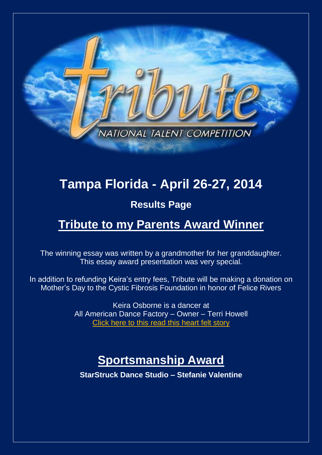

# **Tampa Florida - April 26-27, 2014**

## **Results Page**

# **Tribute to my Parents Award Winner**

The winning essay was written by a grandmother for her granddaughter. This essay award presentation was very special.

In addition to refunding Keira's entry fees, Tribute will be making a donation on Mother's Day to the Cystic Fibrosis Foundation in honor of Felice Rivers

> Keira Osborne is a dancer at All American Dance Factory – Owner – Terri Howell [Click here to this read this heart felt](http://www.tributetodance.com/2014/essays/tampaessay14.pdf) story

# **Sportsmanship Award**

**StarStruck Dance Studio – Stefanie Valentine**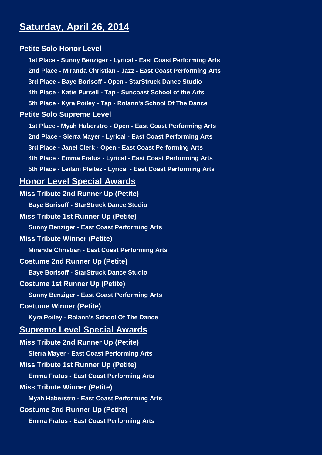## **Saturday, April 26, 2014**

## **Petite Solo Honor Level**

**1st Place - Sunny Benziger - Lyrical - East Coast Performing Arts 2nd Place - Miranda Christian - Jazz - East Coast Performing Arts 3rd Place - Baye Borisoff - Open - StarStruck Dance Studio 4th Place - Katie Purcell - Tap - Suncoast School of the Arts 5th Place - Kyra Poiley - Tap - Rolann's School Of The Dance Petite Solo Supreme Level 1st Place - Myah Haberstro - Open - East Coast Performing Arts**

**2nd Place - Sierra Mayer - Lyrical - East Coast Performing Arts 3rd Place - Janel Clerk - Open - East Coast Performing Arts 4th Place - Emma Fratus - Lyrical - East Coast Performing Arts 5th Place - Leilani Pleitez - Lyrical - East Coast Performing Arts**

## **Honor Level Special Awards**

**Miss Tribute 2nd Runner Up (Petite) Baye Borisoff - StarStruck Dance Studio Miss Tribute 1st Runner Up (Petite) Sunny Benziger - East Coast Performing Arts Miss Tribute Winner (Petite) Miranda Christian - East Coast Performing Arts Costume 2nd Runner Up (Petite) Baye Borisoff - StarStruck Dance Studio Costume 1st Runner Up (Petite) Sunny Benziger - East Coast Performing Arts Costume Winner (Petite) Kyra Poiley - Rolann's School Of The Dance Supreme Level Special Awards Miss Tribute 2nd Runner Up (Petite) Sierra Mayer - East Coast Performing Arts Miss Tribute 1st Runner Up (Petite) Emma Fratus - East Coast Performing Arts Miss Tribute Winner (Petite) Myah Haberstro - East Coast Performing Arts Costume 2nd Runner Up (Petite) Emma Fratus - East Coast Performing Arts**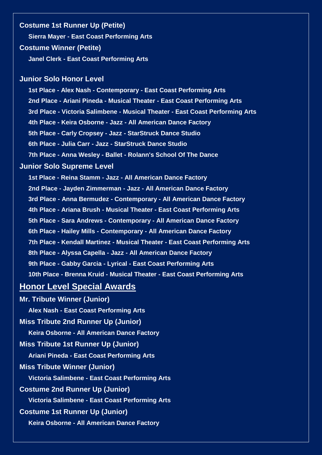#### **Costume 1st Runner Up (Petite)**

**Sierra Mayer - East Coast Performing Arts**

#### **Costume Winner (Petite)**

**Janel Clerk - East Coast Performing Arts**

#### **Junior Solo Honor Level**

**1st Place - Alex Nash - Contemporary - East Coast Performing Arts 2nd Place - Ariani Pineda - Musical Theater - East Coast Performing Arts 3rd Place - Victoria Salimbene - Musical Theater - East Coast Performing Arts 4th Place - Keira Osborne - Jazz - All American Dance Factory 5th Place - Carly Cropsey - Jazz - StarStruck Dance Studio 6th Place - Julia Carr - Jazz - StarStruck Dance Studio 7th Place - Anna Wesley - Ballet - Rolann's School Of The Dance**

#### **Junior Solo Supreme Level**

**1st Place - Reina Stamm - Jazz - All American Dance Factory 2nd Place - Jayden Zimmerman - Jazz - All American Dance Factory 3rd Place - Anna Bermudez - Contemporary - All American Dance Factory 4th Place - Ariana Brush - Musical Theater - East Coast Performing Arts 5th Place - Sara Andrews - Contemporary - All American Dance Factory 6th Place - Hailey Mills - Contemporary - All American Dance Factory 7th Place - Kendall Martinez - Musical Theater - East Coast Performing Arts 8th Place - Alyssa Capella - Jazz - All American Dance Factory 9th Place - Gabby Garcia - Lyrical - East Coast Performing Arts 10th Place - Brenna Kruid - Musical Theater - East Coast Performing Arts**

## **Honor Level Special Awards**

**Mr. Tribute Winner (Junior) Alex Nash - East Coast Performing Arts Miss Tribute 2nd Runner Up (Junior) Keira Osborne - All American Dance Factory Miss Tribute 1st Runner Up (Junior) Ariani Pineda - East Coast Performing Arts Miss Tribute Winner (Junior) Victoria Salimbene - East Coast Performing Arts Costume 2nd Runner Up (Junior) Victoria Salimbene - East Coast Performing Arts Costume 1st Runner Up (Junior) Keira Osborne - All American Dance Factory**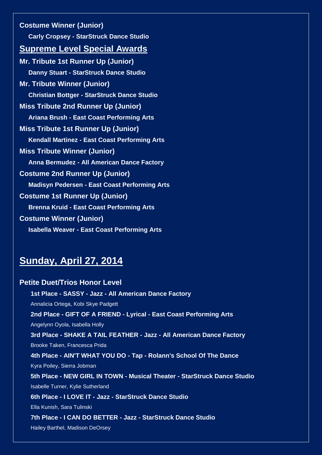**Costume Winner (Junior) Carly Cropsey - StarStruck Dance Studio Supreme Level Special Awards Mr. Tribute 1st Runner Up (Junior) Danny Stuart - StarStruck Dance Studio Mr. Tribute Winner (Junior) Christian Bottger - StarStruck Dance Studio Miss Tribute 2nd Runner Up (Junior) Ariana Brush - East Coast Performing Arts Miss Tribute 1st Runner Up (Junior) Kendall Martinez - East Coast Performing Arts Miss Tribute Winner (Junior) Anna Bermudez - All American Dance Factory Costume 2nd Runner Up (Junior) Madisyn Pedersen - East Coast Performing Arts Costume 1st Runner Up (Junior) Brenna Kruid - East Coast Performing Arts Costume Winner (Junior) Isabella Weaver - East Coast Performing Arts**

## **Sunday, April 27, 2014**

**Petite Duet/Trios Honor Level 1st Place - SASSY - Jazz - All American Dance Factory** Annalicia Ortega, Kobi Skye Padgett **2nd Place - GIFT OF A FRIEND - Lyrical - East Coast Performing Arts** Angelynn Oyola, Isabella Holly **3rd Place - SHAKE A TAIL FEATHER - Jazz - All American Dance Factory** Brooke Taken, Francesca Prida **4th Place - AIN'T WHAT YOU DO - Tap - Rolann's School Of The Dance** Kyra Poiley, Sierra Jobman **5th Place - NEW GIRL IN TOWN - Musical Theater - StarStruck Dance Studio** Isabelle Turner, Kylie Sutherland **6th Place - I LOVE IT - Jazz - StarStruck Dance Studio** Ella Kunish, Sara Tulinski **7th Place - I CAN DO BETTER - Jazz - StarStruck Dance Studio** Hailey Barthel, Madison DeOrsey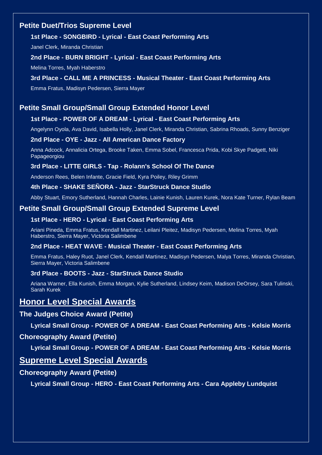## **Petite Duet/Trios Supreme Level**

### **1st Place - SONGBIRD - Lyrical - East Coast Performing Arts**

Janel Clerk, Miranda Christian

#### **2nd Place - BURN BRIGHT - Lyrical - East Coast Performing Arts**

Melina Torres, Myah Haberstro

### **3rd Place - CALL ME A PRINCESS - Musical Theater - East Coast Performing Arts**

Emma Fratus, Madisyn Pedersen, Sierra Mayer

## **Petite Small Group/Small Group Extended Honor Level**

### **1st Place - POWER OF A DREAM - Lyrical - East Coast Performing Arts**

Angelynn Oyola, Ava David, Isabella Holly, Janel Clerk, Miranda Christian, Sabrina Rhoads, Sunny Benziger

#### **2nd Place - OYE - Jazz - All American Dance Factory**

Anna Adcock, Annalicia Ortega, Brooke Taken, Emma Sobel, Francesca Prida, Kobi Skye Padgett, Niki Papageorgiou

#### **3rd Place - LITTE GIRLS - Tap - Rolann's School Of The Dance**

Anderson Rees, Belen Infante, Gracie Field, Kyra Poiley, Riley Grimm

#### **4th Place - SHAKE SEÑORA - Jazz - StarStruck Dance Studio**

Abby Stuart, Emory Sutherland, Hannah Charles, Lainie Kunish, Lauren Kurek, Nora Kate Turner, Rylan Beam

### **Petite Small Group/Small Group Extended Supreme Level**

#### **1st Place - HERO - Lyrical - East Coast Performing Arts**

Ariani Pineda, Emma Fratus, Kendall Martinez, Leilani Pleitez, Madisyn Pedersen, Melina Torres, Myah Haberstro, Sierra Mayer, Victoria Salimbene

#### **2nd Place - HEAT WAVE - Musical Theater - East Coast Performing Arts**

Emma Fratus, Haley Ruot, Janel Clerk, Kendall Martinez, Madisyn Pedersen, Malya Torres, Miranda Christian, Sierra Mayer, Victoria Salimbene

#### **3rd Place - BOOTS - Jazz - StarStruck Dance Studio**

Ariana Warner, Ella Kunish, Emma Morgan, Kylie Sutherland, Lindsey Keim, Madison DeOrsey, Sara Tulinski, Sarah Kurek

## **Honor Level Special Awards**

#### **The Judges Choice Award (Petite)**

**Lyrical Small Group - POWER OF A DREAM - East Coast Performing Arts - Kelsie Morris**

#### **Choreography Award (Petite)**

**Lyrical Small Group - POWER OF A DREAM - East Coast Performing Arts - Kelsie Morris**

## **Supreme Level Special Awards**

#### **Choreography Award (Petite)**

**Lyrical Small Group - HERO - East Coast Performing Arts - Cara Appleby Lundquist**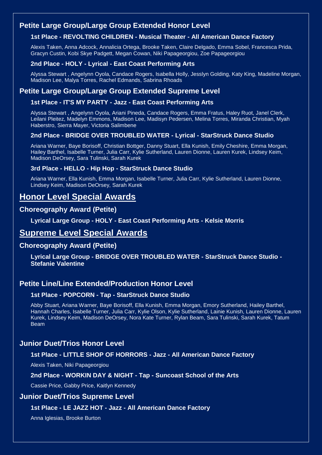## **Petite Large Group/Large Group Extended Honor Level**

## **1st Place - REVOLTING CHILDREN - Musical Theater - All American Dance Factory**

Alexis Taken, Anna Adcock, Annalicia Ortega, Brooke Taken, Claire Delgado, Emma Sobel, Francesca Prida, Gracyn Custin, Kobi Skye Padgett, Megan Cowan, Niki Papageorgiou, Zoe Papageorgiou

#### **2nd Place - HOLY - Lyrical - East Coast Performing Arts**

Alyssa Stewart , Angelynn Oyola, Candace Rogers, Isabella Holly, Jesslyn Golding, Katy King, Madeline Morgan, Madison Lee, Malya Torres, Rachel Edmands, Sabrina Rhoads

## **Petite Large Group/Large Group Extended Supreme Level**

#### **1st Place - IT'S MY PARTY - Jazz - East Coast Performing Arts**

Alyssa Stewart , Angelynn Oyola, Ariani Pineda, Candace Rogers, Emma Fratus, Haley Ruot, Janel Clerk, Leilani Pleitez, Madelyn Emmons, Madison Lee, Madisyn Pedersen, Melina Torres, Miranda Christian, Myah Haberstro, Sierra Mayer, Victoria Salimbene

#### **2nd Place - BRIDGE OVER TROUBLED WATER - Lyrical - StarStruck Dance Studio**

Ariana Warner, Baye Borisoff, Christian Bottger, Danny Stuart, Ella Kunish, Emily Cheshire, Emma Morgan, Hailey Barthel, Isabelle Turner, Julia Carr, Kylie Sutherland, Lauren Dionne, Lauren Kurek, Lindsey Keim, Madison DeOrsey, Sara Tulinski, Sarah Kurek

#### **3rd Place - HELLO - Hip Hop - StarStruck Dance Studio**

Ariana Warner, Ella Kunish, Emma Morgan, Isabelle Turner, Julia Carr, Kylie Sutherland, Lauren Dionne, Lindsey Keim, Madison DeOrsey, Sarah Kurek

## **Honor Level Special Awards**

#### **Choreography Award (Petite)**

**Lyrical Large Group - HOLY - East Coast Performing Arts - Kelsie Morris**

## **Supreme Level Special Awards**

### **Choreography Award (Petite)**

**Lyrical Large Group - BRIDGE OVER TROUBLED WATER - StarStruck Dance Studio - Stefanie Valentine**

## **Petite Line/Line Extended/Production Honor Level**

#### **1st Place - POPCORN - Tap - StarStruck Dance Studio**

Abby Stuart, Ariana Warner, Baye Borisoff, Ella Kunish, Emma Morgan, Emory Sutherland, Hailey Barthel, Hannah Charles, Isabelle Turner, Julia Carr, Kylie Olson, Kylie Sutherland, Lainie Kunish, Lauren Dionne, Lauren Kurek, Lindsey Keim, Madison DeOrsey, Nora Kate Turner, Rylan Beam, Sara Tulinski, Sarah Kurek, Tatum Beam

## **Junior Duet/Trios Honor Level**

#### **1st Place - LITTLE SHOP OF HORRORS - Jazz - All American Dance Factory**

Alexis Taken, Niki Papageorgiou

#### **2nd Place - WORKIN DAY & NIGHT - Tap - Suncoast School of the Arts**

Cassie Price, Gabby Price, Kaitlyn Kennedy

#### **Junior Duet/Trios Supreme Level**

#### **1st Place - LE JAZZ HOT - Jazz - All American Dance Factory**

Anna Iglesias, Brooke Burton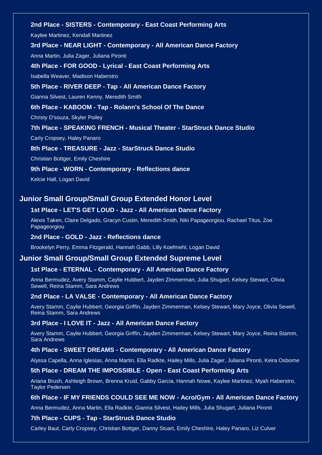## **2nd Place - SISTERS - Contemporary - East Coast Performing Arts** Kaylee Martinez, Kendall Martinez **3rd Place - NEAR LIGHT - Contemporary - All American Dance Factory** Anna Martin, Julia Zager, Juliana Pironti **4th Place - FOR GOOD - Lyrical - East Coast Performing Arts** Isabella Weaver, Madison Haberstro **5th Place - RIVER DEEP - Tap - All American Dance Factory** Gianna Silvest, Lauren Kenny, Meredith Smith **6th Place - KABOOM - Tap - Rolann's School Of The Dance** Christy D'souza, Skyler Poiley **7th Place - SPEAKING FRENCH - Musical Theater - StarStruck Dance Studio** Carly Cropsey, Haley Panaro **8th Place - TREASURE - Jazz - StarStruck Dance Studio** Christian Bottger, Emily Cheshire **9th Place - WORN - Contemporary - Reflections dance**

Kelcie Hall, Logan David

## **Junior Small Group/Small Group Extended Honor Level**

#### **1st Place - LET'S GET LOUD - Jazz - All American Dance Factory**

Alexis Taken, Claire Delgado, Gracyn Custin, Meredith Smith, Niki Papageorgiou, Rachael Titus, Zoe Papageorgiou

#### **2nd Place - GOLD - Jazz - Reflections dance**

Brookelyn Perry, Emma Fitzgerald, Hannah Gabb, Lilly Koefmehl, Logan David

#### **Junior Small Group/Small Group Extended Supreme Level**

#### **1st Place - ETERNAL - Contemporary - All American Dance Factory**

Anna Bermudez, Avery Stamm, Caylie Hubbert, Jayden Zimmerman, Julia Shugart, Kelsey Stewart, Olivia Sewell, Reina Stamm, Sara Andrews

#### **2nd Place - LA VALSE - Contemporary - All American Dance Factory**

Avery Stamm, Caylie Hubbert, Georgia Griffin, Jayden Zimmerman, Kelsey Stewart, Mary Joyce, Olivia Sewell, Reina Stamm, Sara Andrews

#### **3rd Place - I LOVE IT - Jazz - All American Dance Factory**

Avery Stamm, Caylie Hubbert, Georgia Griffin, Jayden Zimmerman, Kelsey Stewart, Mary Joyce, Reina Stamm, Sara Andrews

#### **4th Place - SWEET DREAMS - Contemporary - All American Dance Factory**

Alyssa Capella, Anna Iglesias, Anna Martin, Ella Radkte, Hailey Mills, Julia Zager, Juliana Pironti, Keira Osborne

#### **5th Place - DREAM THE IMPOSSIBLE - Open - East Coast Performing Arts**

Ariana Brush, Ashleigh Brown, Brenna Kruid, Gabby Garcia, Hannah Nowe, Kaylee Martinez, Myah Haberstro, Taylor Pedersen

#### **6th Place - IF MY FRIENDS COULD SEE ME NOW - Acro/Gym - All American Dance Factory**

Anna Bermudez, Anna Martin, Ella Radkte, Gianna Silvest, Hailey Mills, Julia Shugart, Juliana Pironti

#### **7th Place - CUPS - Tap - StarStruck Dance Studio**

Carley Baut, Carly Cropsey, Christian Bottger, Danny Stuart, Emily Cheshire, Haley Panaro, Liz Culver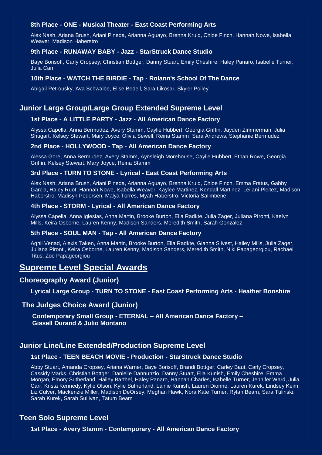#### **8th Place - ONE - Musical Theater - East Coast Performing Arts**

Alex Nash, Ariana Brush, Ariani Pineda, Arianna Aguayo, Brenna Kruid, Chloe Finch, Hannah Nowe, Isabella Weaver, Madison Haberstro

#### **9th Place - RUNAWAY BABY - Jazz - StarStruck Dance Studio**

Baye Borisoff, Carly Cropsey, Christian Bottger, Danny Stuart, Emily Cheshire, Haley Panaro, Isabelle Turner, Julia Carr

#### **10th Place - WATCH THE BIRDIE - Tap - Rolann's School Of The Dance**

Abigail Petrousky, Ava Schwalbe, Elise Bedell, Sara Likosar, Skyler Poiley

### **Junior Large Group/Large Group Extended Supreme Level**

#### **1st Place - A LITTLE PARTY - Jazz - All American Dance Factory**

Alyssa Capella, Anna Bermudez, Avery Stamm, Caylie Hubbert, Georgia Griffin, Jayden Zimmerman, Julia Shugart, Kelsey Stewart, Mary Joyce, Olivia Sewell, Reina Stamm, Sara Andrews, Stephanie Bermudez

#### **2nd Place - HOLLYWOOD - Tap - All American Dance Factory**

Alessa Gore, Anna Bermudez, Avery Stamm, Aynsleigh Morehouse, Caylie Hubbert, Ethan Rowe, Georgia Griffin, Kelsey Stewart, Mary Joyce, Reina Stamm

#### **3rd Place - TURN TO STONE - Lyrical - East Coast Performing Arts**

Alex Nash, Ariana Brush, Ariani Pineda, Arianna Aguayo, Brenna Kruid, Chloe Finch, Emma Fratus, Gabby Garcia, Haley Ruot, Hannah Nowe, Isabella Weaver, Kaylee Martinez, Kendall Martinez, Leilani Pleitez, Madison Haberstro, Madisyn Pedersen, Malya Torres, Myah Haberstro, Victoria Salimbene

#### **4th Place - STORM - Lyrical - All American Dance Factory**

Alyssa Capella, Anna Iglesias, Anna Martin, Brooke Burton, Ella Radkte, Julia Zager, Juliana Pironti, Kaelyn Mills, Keira Osborne, Lauren Kenny, Madison Sanders, Meredith Smith, Sarah Gonzalez

#### **5th Place - SOUL MAN - Tap - All American Dance Factory**

Agnil Venad, Alexis Taken, Anna Martin, Brooke Burton, Ella Radkte, Gianna Silvest, Hailey Mills, Julia Zager, Juliana Pironti, Keira Osborne, Lauren Kenny, Madison Sanders, Meredith Smith, Niki Papageorgiou, Rachael Titus, Zoe Papageorgiou

## **Supreme Level Special Awards**

#### **Choreography Award (Junior)**

**Lyrical Large Group - TURN TO STONE - East Coast Performing Arts - Heather Bonshire**

#### **The Judges Choice Award (Junior)**

 **Contemporary Small Group - ETERNAL – All American Dance Factory – Gissell Durand & Julio Montano**

#### **Junior Line/Line Extended/Production Supreme Level**

#### **1st Place - TEEN BEACH MOVIE - Production - StarStruck Dance Studio**

Abby Stuart, Amanda Cropsey, Ariana Warner, Baye Borisoff, Brandi Bottger, Carley Baut, Carly Cropsey, Cassidy Marks, Christian Bottger, Danielle Dannunzio, Danny Stuart, Ella Kunish, Emily Cheshire, Emma Morgan, Emory Sutherland, Hailey Barthel, Haley Panaro, Hannah Charles, Isabelle Turner, Jennifer Ward, Julia Carr, Krista Kennedy, Kylie Olson, Kylie Sutherland, Lainie Kunish, Lauren Dionne, Lauren Kurek, Lindsey Keim, Liz Culver, Mackenzie Miller, Madison DeOrsey, Meghan Hawk, Nora Kate Turner, Rylan Beam, Sara Tulinski, Sarah Kurek, Sarah Sullivan, Tatum Beam

#### **Teen Solo Supreme Level**

**1st Place - Avery Stamm - Contemporary - All American Dance Factory**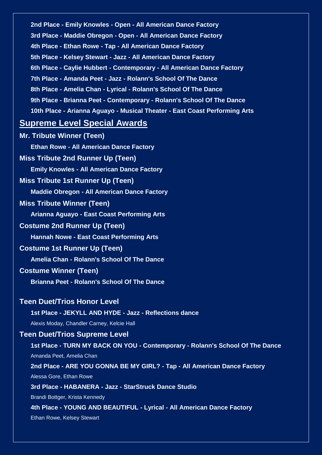**2nd Place - Emily Knowles - Open - All American Dance Factory 3rd Place - Maddie Obregon - Open - All American Dance Factory 4th Place - Ethan Rowe - Tap - All American Dance Factory 5th Place - Kelsey Stewart - Jazz - All American Dance Factory 6th Place - Caylie Hubbert - Contemporary - All American Dance Factory 7th Place - Amanda Peet - Jazz - Rolann's School Of The Dance 8th Place - Amelia Chan - Lyrical - Rolann's School Of The Dance 9th Place - Brianna Peet - Contemporary - Rolann's School Of The Dance 10th Place - Arianna Aguayo - Musical Theater - East Coast Performing Arts**

## **Supreme Level Special Awards**

**Mr. Tribute Winner (Teen) Ethan Rowe - All American Dance Factory Miss Tribute 2nd Runner Up (Teen) Emily Knowles - All American Dance Factory Miss Tribute 1st Runner Up (Teen) Maddie Obregon - All American Dance Factory Miss Tribute Winner (Teen) Arianna Aguayo - East Coast Performing Arts Costume 2nd Runner Up (Teen) Hannah Nowe - East Coast Performing Arts Costume 1st Runner Up (Teen) Amelia Chan - Rolann's School Of The Dance Costume Winner (Teen) Brianna Peet - Rolann's School Of The Dance Teen Duet/Trios Honor Level 1st Place - JEKYLL AND HYDE - Jazz - Reflections dance** Alexis Moday, Chandler Carney, Kelcie Hall **Teen Duet/Trios Supreme Level 1st Place - TURN MY BACK ON YOU - Contemporary - Rolann's School Of The Dance** Amanda Peet, Amelia Chan **2nd Place - ARE YOU GONNA BE MY GIRL? - Tap - All American Dance Factory** Alessa Gore, Ethan Rowe **3rd Place - HABANERA - Jazz - StarStruck Dance Studio** Brandi Bottger, Krista Kennedy **4th Place - YOUNG AND BEAUTIFUL - Lyrical - All American Dance Factory** Ethan Rowe, Kelsey Stewart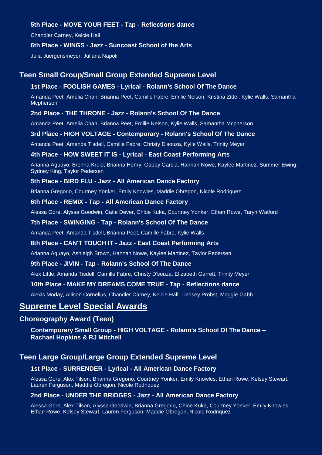#### **5th Place - MOVE YOUR FEET - Tap - Reflections dance**

Chandler Carney, Kelcie Hall

#### **6th Place - WINGS - Jazz - Suncoast School of the Arts**

Julia Juergensmeyer, Juliana Napoli

#### **Teen Small Group/Small Group Extended Supreme Level**

#### **1st Place - FOOLISH GAMES - Lyrical - Rolann's School Of The Dance**

Amanda Peet, Amelia Chan, Brianna Peet, Camille Fabre, Emilie Nelson, Kristina Zittel, Kylie Walls, Samantha Mcpherson

#### **2nd Place - THE THRONE - Jazz - Rolann's School Of The Dance**

Amanda Peet, Amelia Chan, Brianna Peet, Emilie Nelson, Kylie Walls, Samantha Mcpherson

#### **3rd Place - HIGH VOLTAGE - Contemporary - Rolann's School Of The Dance**

Amanda Peet, Amanda Tisdell, Camille Fabre, Christy D'souza, Kylie Walls, Trinity Meyer

#### **4th Place - HOW SWEET IT IS - Lyrical - East Coast Performing Arts**

Arianna Aguayo, Brenna Kruid, Brianna Henry, Gabby Garcia, Hannah Nowe, Kaylee Martinez, Summer Ewing, Sydney King, Taylor Pedersen

#### **5th Place - BIRD FLU - Jazz - All American Dance Factory**

Brianna Gregorio, Courtney Yonker, Emily Knowles, Maddie Obregon, Nicole Rodriquez

#### **6th Place - REMIX - Tap - All American Dance Factory**

Alessa Gore, Alyssa Goodwin, Catie Dever, Chloe Kuka, Courtney Yonker, Ethan Rowe, Taryn Watford

#### **7th Place - SWINGING - Tap - Rolann's School Of The Dance**

Amanda Peet, Amanda Tisdell, Brianna Peet, Camille Fabre, Kylie Walls

#### **8th Place - CAN'T TOUCH IT - Jazz - East Coast Performing Arts**

Arianna Aguayo, Ashleigh Brown, Hannah Nowe, Kaylee Martinez, Taylor Pedersen

#### **9th Place - JIVIN - Tap - Rolann's School Of The Dance**

Alex Little, Amanda Tisdell, Camille Fabre, Christy D'souza, Elizabeth Garrett, Trinity Meyer

#### **10th Place - MAKE MY DREAMS COME TRUE - Tap - Reflections dance**

Alexis Moday, Allison Cornelius, Chandler Carney, Kelcie Hall, Lindsey Probst, Maggie Gabb

## **Supreme Level Special Awards**

#### **Choreography Award (Teen)**

**Contemporary Small Group - HIGH VOLTAGE - Rolann's School Of The Dance – Rachael Hopkins & RJ Mitchell**

#### **Teen Large Group/Large Group Extended Supreme Level**

#### **1st Place - SURRENDER - Lyrical - All American Dance Factory**

Alessa Gore, Alex Tilson, Brianna Gregorio, Courtney Yonker, Emily Knowles, Ethan Rowe, Kelsey Stewart, Lauren Ferguson, Maddie Obregon, Nicole Rodriquez

#### **2nd Place - UNDER THE BRIDGES - Jazz - All American Dance Factory**

Alessa Gore, Alex Tilson, Alyssa Goodwin, Brianna Gregorio, Chloe Kuka, Courtney Yonker, Emily Knowles, Ethan Rowe, Kelsey Stewart, Lauren Ferguson, Maddie Obregon, Nicole Rodriquez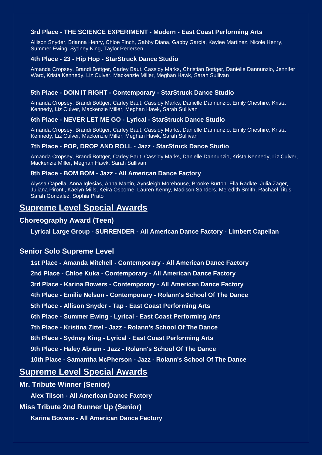#### **3rd Place - THE SCIENCE EXPERIMENT - Modern - East Coast Performing Arts**

Allison Snyder, Brianna Henry, Chloe Finch, Gabby Diana, Gabby Garcia, Kaylee Martinez, Nicole Henry, Summer Ewing, Sydney King, Taylor Pedersen

#### **4th Place - 23 - Hip Hop - StarStruck Dance Studio**

Amanda Cropsey, Brandi Bottger, Carley Baut, Cassidy Marks, Christian Bottger, Danielle Dannunzio, Jennifer Ward, Krista Kennedy, Liz Culver, Mackenzie Miller, Meghan Hawk, Sarah Sullivan

#### **5th Place - DOIN IT RIGHT - Contemporary - StarStruck Dance Studio**

Amanda Cropsey, Brandi Bottger, Carley Baut, Cassidy Marks, Danielle Dannunzio, Emily Cheshire, Krista Kennedy, Liz Culver, Mackenzie Miller, Meghan Hawk, Sarah Sullivan

#### **6th Place - NEVER LET ME GO - Lyrical - StarStruck Dance Studio**

Amanda Cropsey, Brandi Bottger, Carley Baut, Cassidy Marks, Danielle Dannunzio, Emily Cheshire, Krista Kennedy, Liz Culver, Mackenzie Miller, Meghan Hawk, Sarah Sullivan

#### **7th Place - POP, DROP AND ROLL - Jazz - StarStruck Dance Studio**

Amanda Cropsey, Brandi Bottger, Carley Baut, Cassidy Marks, Danielle Dannunzio, Krista Kennedy, Liz Culver, Mackenzie Miller, Meghan Hawk, Sarah Sullivan

#### **8th Place - BOM BOM - Jazz - All American Dance Factory**

Alyssa Capella, Anna Iglesias, Anna Martin, Aynsleigh Morehouse, Brooke Burton, Ella Radkte, Julia Zager, Juliana Pironti, Kaelyn Mills, Keira Osborne, Lauren Kenny, Madison Sanders, Meredith Smith, Rachael Titus, Sarah Gonzalez, Sophia Prato

## **Supreme Level Special Awards**

#### **Choreography Award (Teen)**

**Lyrical Large Group - SURRENDER - All American Dance Factory - Limbert Capellan**

#### **Senior Solo Supreme Level**

**1st Place - Amanda Mitchell - Contemporary - All American Dance Factory 2nd Place - Chloe Kuka - Contemporary - All American Dance Factory 3rd Place - Karina Bowers - Contemporary - All American Dance Factory 4th Place - Emilie Nelson - Contemporary - Rolann's School Of The Dance 5th Place - Allison Snyder - Tap - East Coast Performing Arts 6th Place - Summer Ewing - Lyrical - East Coast Performing Arts 7th Place - Kristina Zittel - Jazz - Rolann's School Of The Dance 8th Place - Sydney King - Lyrical - East Coast Performing Arts 9th Place - Haley Abram - Jazz - Rolann's School Of The Dance 10th Place - Samantha McPherson - Jazz - Rolann's School Of The Dance**

## **Supreme Level Special Awards**

#### **Mr. Tribute Winner (Senior)**

**Alex Tilson - All American Dance Factory**

**Miss Tribute 2nd Runner Up (Senior)**

**Karina Bowers - All American Dance Factory**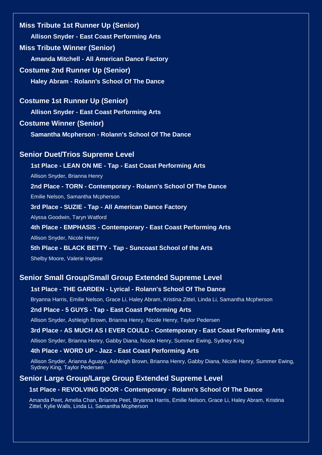**Miss Tribute 1st Runner Up (Senior) Allison Snyder - East Coast Performing Arts Miss Tribute Winner (Senior) Amanda Mitchell - All American Dance Factory Costume 2nd Runner Up (Senior) Haley Abram - Rolann's School Of The Dance**

#### **Costume 1st Runner Up (Senior)**

**Allison Snyder - East Coast Performing Arts**

## **Costume Winner (Senior)**

**Samantha Mcpherson - Rolann's School Of The Dance**

#### **Senior Duet/Trios Supreme Level**

**1st Place - LEAN ON ME - Tap - East Coast Performing Arts**

Allison Snyder, Brianna Henry

**2nd Place - TORN - Contemporary - Rolann's School Of The Dance**

Emilie Nelson, Samantha Mcpherson

#### **3rd Place - SUZIE - Tap - All American Dance Factory**

Alyssa Goodwin, Taryn Watford

#### **4th Place - EMPHASIS - Contemporary - East Coast Performing Arts**

Allison Snyder, Nicole Henry

#### **5th Place - BLACK BETTY - Tap - Suncoast School of the Arts**

Shelby Moore, Valerie Inglese

#### **Senior Small Group/Small Group Extended Supreme Level**

#### **1st Place - THE GARDEN - Lyrical - Rolann's School Of The Dance**

Bryanna Harris, Emilie Nelson, Grace Li, Haley Abram, Kristina Zittel, Linda Li, Samantha Mcpherson

#### **2nd Place - 5 GUYS - Tap - East Coast Performing Arts**

Allison Snyder, Ashleigh Brown, Brianna Henry, Nicole Henry, Taylor Pedersen

#### **3rd Place - AS MUCH AS I EVER COULD - Contemporary - East Coast Performing Arts**

Allison Snyder, Brianna Henry, Gabby Diana, Nicole Henry, Summer Ewing, Sydney King

#### **4th Place - WORD UP - Jazz - East Coast Performing Arts**

Allison Snyder, Arianna Aguayo, Ashleigh Brown, Brianna Henry, Gabby Diana, Nicole Henry, Summer Ewing, Sydney King, Taylor Pedersen

#### **Senior Large Group/Large Group Extended Supreme Level**

#### **1st Place - REVOLVING DOOR - Contemporary - Rolann's School Of The Dance**

Amanda Peet, Amelia Chan, Brianna Peet, Bryanna Harris, Emilie Nelson, Grace Li, Haley Abram, Kristina Zittel, Kylie Walls, Linda Li, Samantha Mcpherson